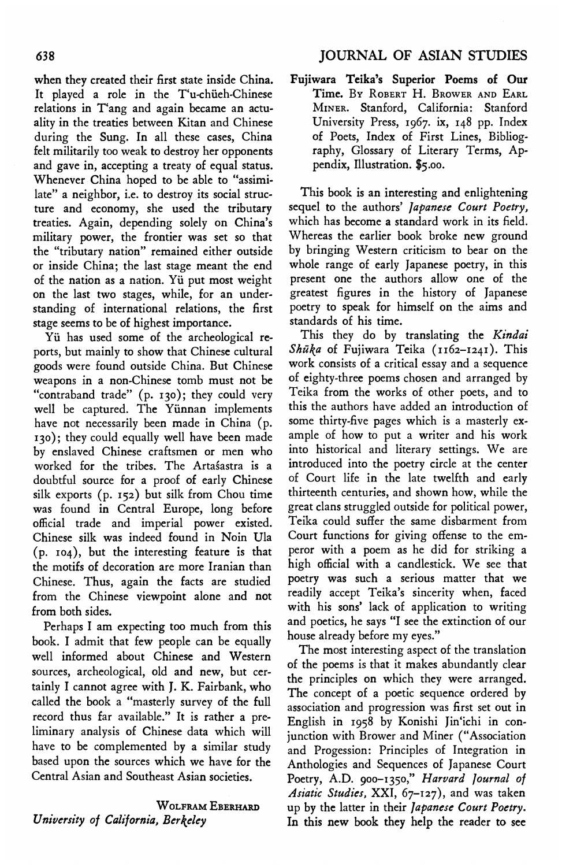when they created their first state inside China. It played a role in the T'u-chüeh-Chinese relations in T'ang and again became an actuality in the treaties between Kitan and Chinese during the Sung. In all these cases, China felt militarily too weak to destroy her opponents and gave in, accepting a treaty of equal status. Whenever China hoped to be able to "assimilate" a neighbor, i.e. to destroy its social structure and economy, she used the tributary treaties. Again, depending solely on China's military power, the frontier was set so that the "tributary nation" remained either outside or inside China; the last stage meant the end of the nation as <sup>a</sup> nation. Yi put most weight on the last two stages, while, for an understanding of international relations, the first stage seems to be of highest importance.

Yii has used some of the archeological reports, but mainly to show that Chinese cultural goods were found outside China. But Chinese weapons in a non-Chinese tomb must not be "contraband trade" (p. 130); they could very well be captured. The Yiinnan implements have not necessarily been made in China (p. 130); they could equally well have been made by enslaved Chinese craftsmen or men who worked for the tribes. The Artasastra is a doubtful source for a proof of early Chinese silk exports (p. 152) but silk from Chou time was found in Central Europe, long before official trade and imperial power existed. Chinese silk was indeed found in Noin Ula (p. 104), but the interesting feature is that the motifs of decoration are more Iranian than Chinese. Thus, again the facts are studied from the Chinese viewpoint alone and not from both sides.

Perhaps <sup>I</sup> am expecting too much from this book. <sup>I</sup> admit that few people can be equally well informed about Chinese and Western sources, archeological, old and new, but certainly <sup>I</sup> cannot agree with J. K. Fairbank, who called the book a "masterly survey of the full record thus far available." It is rather a preliminary analysis of Chinese data which will have to be complemented by a similar study based upon the sources which we have for the Central Asian and Southeast Asian societies.

## WOLFRAM EBERHARD University of California, Berkeley

Fujiwara Teika's Superior Poems of Our Time. By ROBERT H. BROWER AND EARL Miner. Stanford, California: Stanford University Press, 1967. ix, 148 pp. Index of Poets, Index of First Lines, Bibliography, Glossary of Literary Terms, Appendix, Illustration. \$5.00.

This book is an interesting and enlightening sequel to the authors' *Japanese Court Poetry*,<br>which has become a standard work in its field. Whereas the earlier book broke new ground by bringing Western criticism to bear on the whole range of early Japanese poetry, in this present one the authors allow one of the greatest figures in the history of Japanese poetry to speak for himself on the aims and standards of his time.

This they do by translating the Kindai Shūka of Fujiwara Teika (1162-1241). This work consists of a critical essay and a sequence of eighty-three poems chosen and arranged by Teika from the works of other poets, and to this the authors have added an introduction of some thirty-five pages which is a masterly example of how to put <sup>a</sup> writer and his work into historical and literary settings. We are introduced into the poetry circle at the center of Court life in the late twelfth and early thirteenth centuries, and shown how, while the great clans struggled outside for political power, Teika could suffer the same disbarment from Court functions for giving offense to the emperor with a poem as he did for striking a high official with <sup>a</sup> candlestick. We see that poetry was such a serious matter that we readily accept Teika's sincerity when, faced with his sons' lack of application to writing and poetics, he says "I see the extinction of our house already before my eyes."

The most interesting aspect of the translation of the poems is that it makes abundantly clear the principles on which they were arranged. The concept of a poetic sequence ordered by association and progression was first set out in English in 1958 by Konishi Jin'ichi in conjunction with Brower and Miner ("Association and Progession: Principles of Integration in Anthologies and Sequences of Japanese Court Poetry, A.D. 900-1350," Harvard Journal of Asiatic Studies, XXI, 67-127), and was taken up by the latter in their Japanese Court Poetry. In this new book they help the reader to see